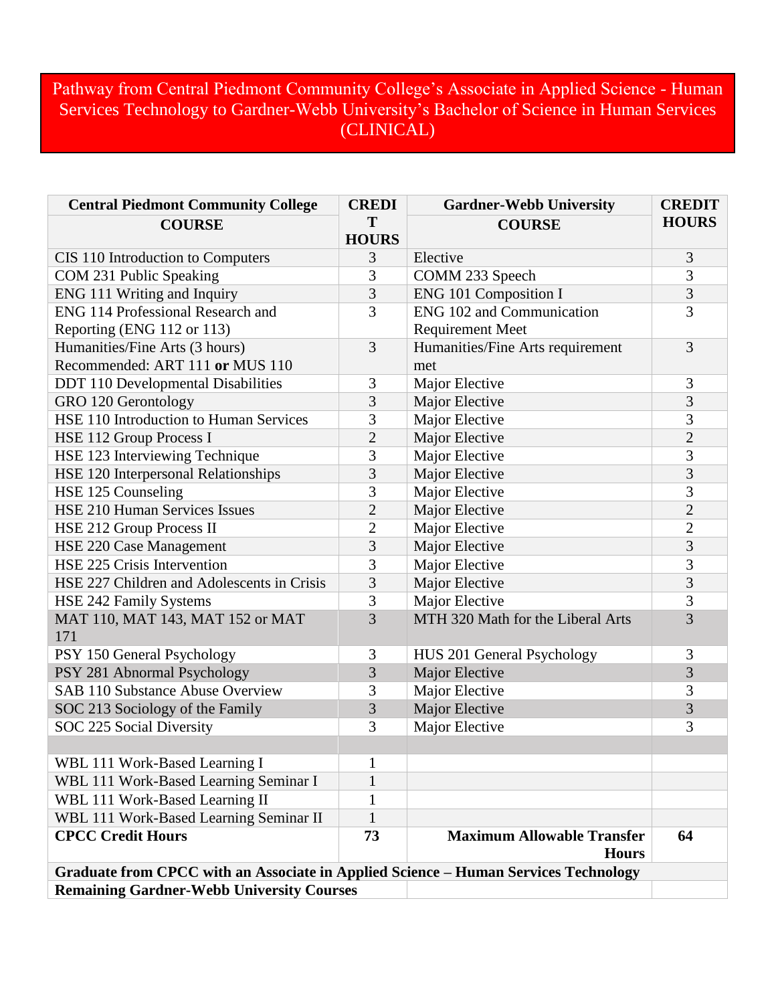## Pathway from Central Piedmont Community College's Associate in Applied Science - Human Services Technology to Gardner-Webb University's Bachelor of Science in Human Services (CLINICAL)

| <b>Central Piedmont Community College</b>                                           | <b>CREDI</b>   | <b>Gardner-Webb University</b>                    | <b>CREDIT</b>  |  |
|-------------------------------------------------------------------------------------|----------------|---------------------------------------------------|----------------|--|
| <b>COURSE</b>                                                                       | T              | <b>COURSE</b>                                     | <b>HOURS</b>   |  |
|                                                                                     | <b>HOURS</b>   |                                                   |                |  |
| CIS 110 Introduction to Computers                                                   | 3              | Elective                                          | 3              |  |
| COM 231 Public Speaking                                                             | 3              | COMM 233 Speech                                   | 3              |  |
| ENG 111 Writing and Inquiry                                                         | $\overline{3}$ | ENG 101 Composition I                             | 3              |  |
| ENG 114 Professional Research and                                                   | 3              | <b>ENG 102 and Communication</b>                  | 3              |  |
| Reporting (ENG 112 or 113)                                                          |                | <b>Requirement Meet</b>                           |                |  |
| Humanities/Fine Arts (3 hours)                                                      | $\overline{3}$ | Humanities/Fine Arts requirement                  | 3              |  |
| Recommended: ART 111 or MUS 110                                                     |                | met                                               |                |  |
| <b>DDT</b> 110 Developmental Disabilities                                           | 3              | Major Elective                                    | 3              |  |
| GRO 120 Gerontology                                                                 | 3              | Major Elective                                    | 3              |  |
| HSE 110 Introduction to Human Services                                              | 3              | Major Elective                                    | 3              |  |
| HSE 112 Group Process I                                                             | $\overline{c}$ | Major Elective                                    | $\overline{c}$ |  |
| HSE 123 Interviewing Technique                                                      | 3              | Major Elective                                    | 3              |  |
| HSE 120 Interpersonal Relationships                                                 | $\overline{3}$ | Major Elective                                    | $\overline{3}$ |  |
| HSE 125 Counseling                                                                  | 3              | Major Elective                                    | 3              |  |
| <b>HSE 210 Human Services Issues</b>                                                | $\overline{2}$ | Major Elective                                    | $\overline{2}$ |  |
| HSE 212 Group Process II                                                            | $\overline{2}$ | Major Elective                                    | $\overline{2}$ |  |
| HSE 220 Case Management                                                             | 3              | Major Elective                                    | 3              |  |
| HSE 225 Crisis Intervention                                                         | 3              | Major Elective                                    | 3              |  |
| HSE 227 Children and Adolescents in Crisis                                          | 3              | Major Elective                                    | 3              |  |
| HSE 242 Family Systems                                                              | 3              | Major Elective                                    | 3              |  |
| MAT 110, MAT 143, MAT 152 or MAT<br>171                                             | $\overline{3}$ | MTH 320 Math for the Liberal Arts                 | 3              |  |
| PSY 150 General Psychology                                                          | 3              | HUS 201 General Psychology                        | 3              |  |
| PSY 281 Abnormal Psychology                                                         | 3              | Major Elective                                    | 3              |  |
| <b>SAB 110 Substance Abuse Overview</b>                                             | 3              | Major Elective                                    | 3              |  |
| SOC 213 Sociology of the Family                                                     | 3              | Major Elective                                    | 3              |  |
| SOC 225 Social Diversity                                                            | 3              | Major Elective                                    | 3              |  |
|                                                                                     |                |                                                   |                |  |
| WBL 111 Work-Based Learning I                                                       | $\mathbf{1}$   |                                                   |                |  |
| WBL 111 Work-Based Learning Seminar I                                               | $\mathbf{1}$   |                                                   |                |  |
| WBL 111 Work-Based Learning II                                                      | 1              |                                                   |                |  |
| WBL 111 Work-Based Learning Seminar II                                              | $\mathbf{1}$   |                                                   |                |  |
| <b>CPCC Credit Hours</b>                                                            | 73             | <b>Maximum Allowable Transfer</b><br><b>Hours</b> | 64             |  |
| Graduate from CPCC with an Associate in Applied Science - Human Services Technology |                |                                                   |                |  |
| <b>Remaining Gardner-Webb University Courses</b>                                    |                |                                                   |                |  |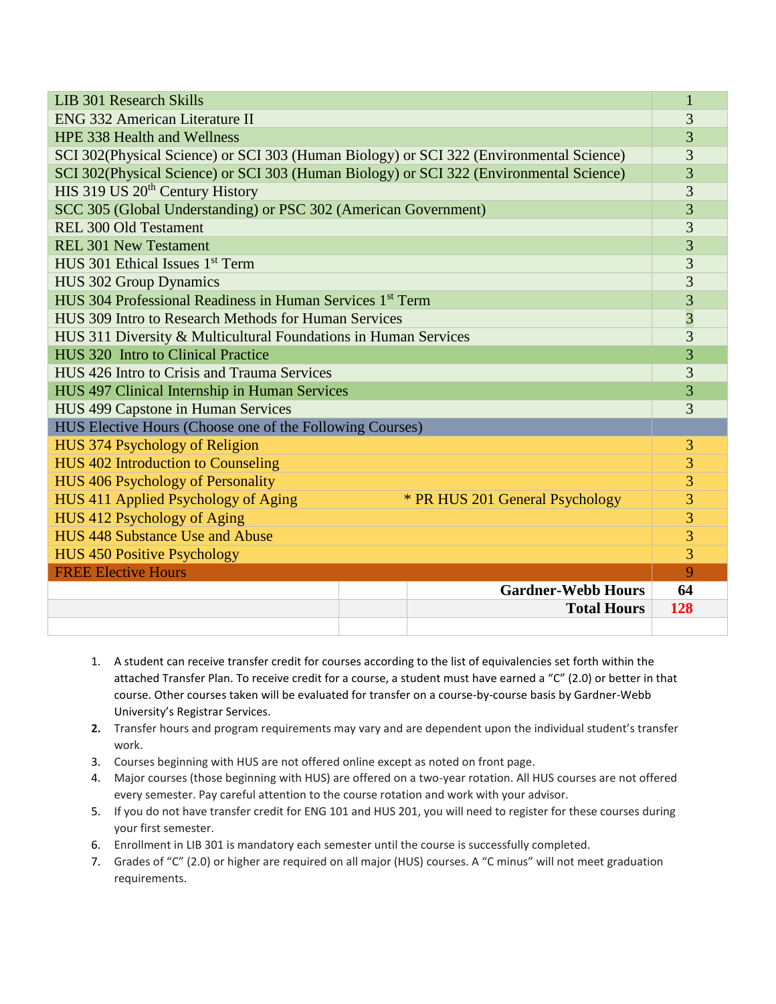| <b>LIB 301 Research Skills</b>                                                          |                |  |
|-----------------------------------------------------------------------------------------|----------------|--|
| <b>ENG 332 American Literature II</b>                                                   |                |  |
| <b>HPE 338 Health and Wellness</b>                                                      |                |  |
| SCI 302(Physical Science) or SCI 303 (Human Biology) or SCI 322 (Environmental Science) |                |  |
| SCI 302(Physical Science) or SCI 303 (Human Biology) or SCI 322 (Environmental Science) |                |  |
| HIS 319 US 20 <sup>th</sup> Century History                                             | 3              |  |
| SCC 305 (Global Understanding) or PSC 302 (American Government)                         |                |  |
| <b>REL 300 Old Testament</b>                                                            | 3              |  |
| <b>REL 301 New Testament</b>                                                            | 3              |  |
| HUS 301 Ethical Issues 1 <sup>st</sup> Term                                             |                |  |
| <b>HUS 302 Group Dynamics</b>                                                           |                |  |
| HUS 304 Professional Readiness in Human Services 1 <sup>st</sup> Term                   |                |  |
| HUS 309 Intro to Research Methods for Human Services                                    |                |  |
| HUS 311 Diversity & Multicultural Foundations in Human Services                         |                |  |
| HUS 320 Intro to Clinical Practice                                                      | 3              |  |
| HUS 426 Intro to Crisis and Trauma Services                                             |                |  |
| HUS 497 Clinical Internship in Human Services                                           |                |  |
| HUS 499 Capstone in Human Services                                                      |                |  |
| HUS Elective Hours (Choose one of the Following Courses)                                |                |  |
| HUS 374 Psychology of Religion                                                          | 3              |  |
| <b>HUS 402 Introduction to Counseling</b>                                               | 3              |  |
| <b>HUS 406 Psychology of Personality</b>                                                | 3              |  |
| HUS 411 Applied Psychology of Aging<br>* PR HUS 201 General Psychology                  | 3              |  |
| HUS 412 Psychology of Aging                                                             | $\overline{3}$ |  |
| HUS 448 Substance Use and Abuse                                                         | 3              |  |
| <b>HUS 450 Positive Psychology</b>                                                      | 3              |  |
| <b>FREE Elective Hours</b>                                                              | 9              |  |
| <b>Gardner-Webb Hours</b>                                                               | 64             |  |
| <b>Total Hours</b>                                                                      | 128            |  |
|                                                                                         |                |  |

- 1. A student can receive transfer credit for courses according to the list of equivalencies set forth within the attached Transfer Plan. To receive credit for a course, a student must have earned a "C" (2.0) or better in that course. Other courses taken will be evaluated for transfer on a course-by-course basis by Gardner-Webb University's Registrar Services.
- **2.** Transfer hours and program requirements may vary and are dependent upon the individual student's transfer work.
- 3. Courses beginning with HUS are not offered online except as noted on front page.
- 4. Major courses (those beginning with HUS) are offered on a two-year rotation. All HUS courses are not offered every semester. Pay careful attention to the course rotation and work with your advisor.
- 5. If you do not have transfer credit for ENG 101 and HUS 201, you will need to register for these courses during your first semester.
- 6. Enrollment in LIB 301 is mandatory each semester until the course is successfully completed.
- 7. Grades of "C" (2.0) or higher are required on all major (HUS) courses. A "C minus" will not meet graduation requirements.